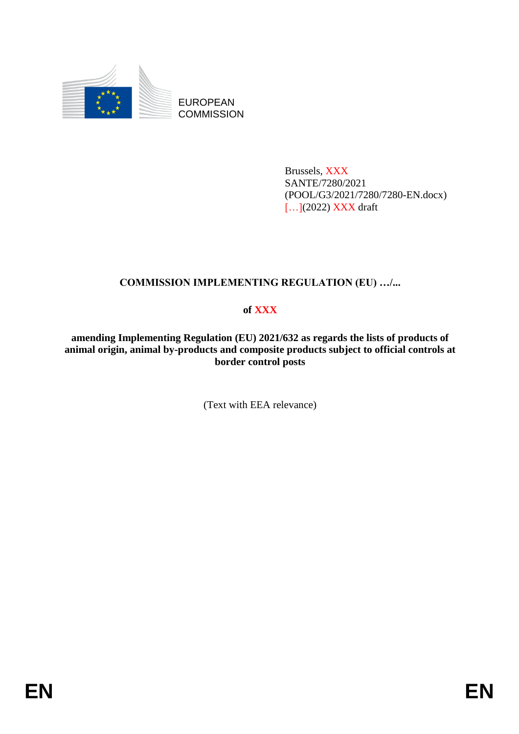

EUROPEAN **COMMISSION** 

> Brussels, XXX SANTE/7280/2021 (POOL/G3/2021/7280/7280-EN.docx) [...](2022) XXX draft

# **COMMISSION IMPLEMENTING REGULATION (EU) …/...**

## **of XXX**

**amending Implementing Regulation (EU) 2021/632 as regards the lists of products of animal origin, animal by-products and composite products subject to official controls at border control posts**

(Text with EEA relevance)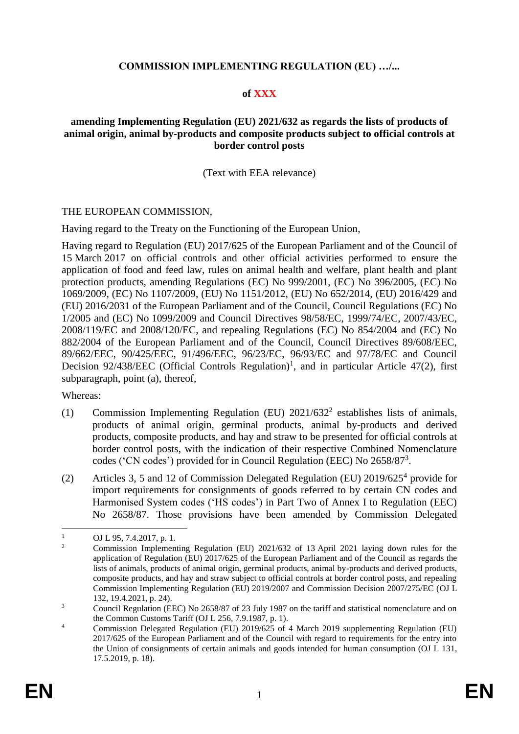#### **COMMISSION IMPLEMENTING REGULATION (EU) …/...**

#### **of XXX**

#### **amending Implementing Regulation (EU) 2021/632 as regards the lists of products of animal origin, animal by-products and composite products subject to official controls at border control posts**

#### (Text with EEA relevance)

#### THE EUROPEAN COMMISSION,

Having regard to the Treaty on the Functioning of the European Union,

Having regard to Regulation (EU) 2017/625 of the European Parliament and of the Council of 15 March 2017 on official controls and other official activities performed to ensure the application of food and feed law, rules on animal health and welfare, plant health and plant protection products, amending Regulations (EC) No 999/2001, (EC) No 396/2005, (EC) No 1069/2009, (EC) No 1107/2009, (EU) No 1151/2012, (EU) No 652/2014, (EU) 2016/429 and (EU) 2016/2031 of the European Parliament and of the Council, Council Regulations (EC) No 1/2005 and (EC) No 1099/2009 and Council Directives 98/58/EC, 1999/74/EC, 2007/43/EC, 2008/119/EC and 2008/120/EC, and repealing Regulations (EC) No 854/2004 and (EC) No 882/2004 of the European Parliament and of the Council, Council Directives 89/608/EEC, 89/662/EEC, 90/425/EEC, 91/496/EEC, 96/23/EC, 96/93/EC and 97/78/EC and Council Decision 92/438/EEC (Official Controls Regulation)<sup>1</sup>, and in particular Article 47(2), first subparagraph, point (a), thereof,

Whereas:

- (1) Commission Implementing Regulation (EU)  $2021/632^2$  establishes lists of animals, products of animal origin, germinal products, animal by-products and derived products, composite products, and hay and straw to be presented for official controls at border control posts, with the indication of their respective Combined Nomenclature codes ('CN codes') provided for in Council Regulation (EEC) No 2658/87<sup>3</sup>.
- (2) Articles 3, 5 and 12 of Commission Delegated Regulation (EU) 2019/625<sup>4</sup> provide for import requirements for consignments of goods referred to by certain CN codes and Harmonised System codes ('HS codes') in Part Two of Annex I to Regulation (EEC) No 2658/87. Those provisions have been amended by Commission Delegated

<sup>1</sup> <sup>1</sup> OJ L 95, 7.4.2017, p. 1.

<sup>2</sup> Commission Implementing Regulation (EU) 2021/632 of 13 April 2021 laying down rules for the application of Regulation (EU) 2017/625 of the European Parliament and of the Council as regards the lists of animals, products of animal origin, germinal products, animal by-products and derived products, composite products, and hay and straw subject to official controls at border control posts, and repealing Commission Implementing Regulation (EU) 2019/2007 and Commission Decision 2007/275/EC (OJ L 132, 19.4.2021, p. 24).

<sup>&</sup>lt;sup>3</sup> Council Regulation (EEC) No 2658/87 of 23 July 1987 on the tariff and statistical nomenclature and on the Common Customs Tariff (OJ L 256, 7.9.1987, p. 1).

<sup>&</sup>lt;sup>4</sup> Commission Delegated Regulation (EU) 2019/625 of 4 March 2019 supplementing Regulation (EU) 2017/625 of the European Parliament and of the Council with regard to requirements for the entry into the Union of consignments of certain animals and goods intended for human consumption (OJ L 131, 17.5.2019, p. 18).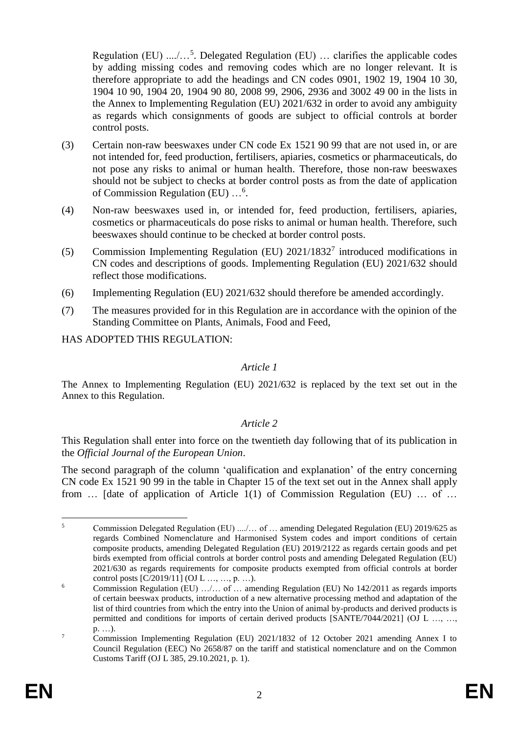Regulation (EU)  $\ldots$ ...<sup>5</sup>. Delegated Regulation (EU) ... clarifies the applicable codes by adding missing codes and removing codes which are no longer relevant. It is therefore appropriate to add the headings and CN codes 0901, 1902 19, 1904 10 30, 1904 10 90, 1904 20, 1904 90 80, 2008 99, 2906, 2936 and 3002 49 00 in the lists in the Annex to Implementing Regulation (EU) 2021/632 in order to avoid any ambiguity as regards which consignments of goods are subject to official controls at border control posts.

- (3) Certain non-raw beeswaxes under CN code Ex 1521 90 99 that are not used in, or are not intended for, feed production, fertilisers, apiaries, cosmetics or pharmaceuticals, do not pose any risks to animal or human health. Therefore, those non-raw beeswaxes should not be subject to checks at border control posts as from the date of application of Commission Regulation (EU) ...<sup>6</sup>.
- (4) Non-raw beeswaxes used in, or intended for, feed production, fertilisers, apiaries, cosmetics or pharmaceuticals do pose risks to animal or human health. Therefore, such beeswaxes should continue to be checked at border control posts.
- (5) Commission Implementing Regulation (EU)  $2021/1832<sup>7</sup>$  introduced modifications in CN codes and descriptions of goods. Implementing Regulation (EU) 2021/632 should reflect those modifications.
- (6) Implementing Regulation (EU) 2021/632 should therefore be amended accordingly.
- (7) The measures provided for in this Regulation are in accordance with the opinion of the Standing Committee on Plants, Animals, Food and Feed,

HAS ADOPTED THIS REGULATION:

### *Article 1*

The Annex to Implementing Regulation (EU) 2021/632 is replaced by the text set out in the Annex to this Regulation.

#### *Article 2*

This Regulation shall enter into force on the twentieth day following that of its publication in the *Official Journal of the European Union*.

The second paragraph of the column 'qualification and explanation' of the entry concerning CN code Ex 1521 90 99 in the table in Chapter 15 of the text set out in the Annex shall apply from … [date of application of Article 1(1) of Commission Regulation (EU) … of …

<sup>&</sup>lt;u>.</u> <sup>5</sup> Commission Delegated Regulation (EU) ..../… of … amending Delegated Regulation (EU) 2019/625 as regards Combined Nomenclature and Harmonised System codes and import conditions of certain composite products, amending Delegated Regulation (EU) 2019/2122 as regards certain goods and pet birds exempted from official controls at border control posts and amending Delegated Regulation (EU) 2021/630 as regards requirements for composite products exempted from official controls at border control posts  $[C/2019/11]$  (OJ L ..., ..., p. ...).

<sup>&</sup>lt;sup>6</sup> Commission Regulation (EU) ....... of ... amending Regulation (EU) No 142/2011 as regards imports of certain beeswax products, introduction of a new alternative processing method and adaptation of the list of third countries from which the entry into the Union of animal by-products and derived products is permitted and conditions for imports of certain derived products [SANTE/7044/2021] (OJ L …, …, p. …).

<sup>7</sup> Commission Implementing Regulation (EU) 2021/1832 of 12 October 2021 amending Annex I to Council Regulation (EEC) No 2658/87 on the tariff and statistical nomenclature and on the Common Customs Tariff (OJ L 385, 29.10.2021, p. 1).